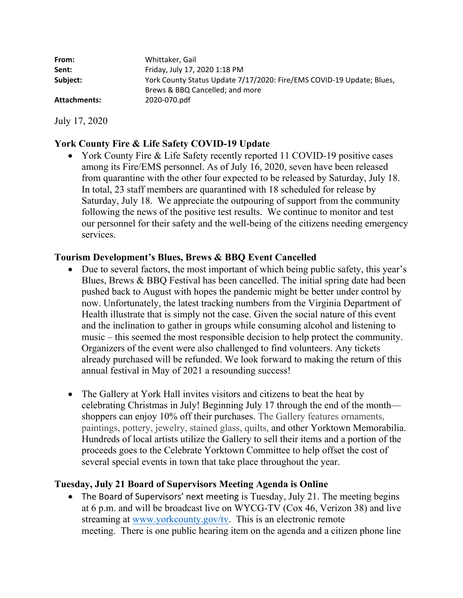| Whittaker, Gail                                                       |
|-----------------------------------------------------------------------|
| Friday, July 17, 2020 1:18 PM                                         |
| York County Status Update 7/17/2020: Fire/EMS COVID-19 Update; Blues, |
| Brews & BBQ Cancelled; and more                                       |
| 2020-070.pdf                                                          |
|                                                                       |

July 17, 2020

# **York County Fire & Life Safety COVID-19 Update**

• York County Fire & Life Safety recently reported 11 COVID-19 positive cases among its Fire/EMS personnel. As of July 16, 2020, seven have been released from quarantine with the other four expected to be released by Saturday, July 18. In total, 23 staff members are quarantined with 18 scheduled for release by Saturday, July 18. We appreciate the outpouring of support from the community following the news of the positive test results. We continue to monitor and test our personnel for their safety and the well-being of the citizens needing emergency services.

# **Tourism Development's Blues, Brews & BBQ Event Cancelled**

- Due to several factors, the most important of which being public safety, this year's Blues, Brews & BBQ Festival has been cancelled. The initial spring date had been pushed back to August with hopes the pandemic might be better under control by now. Unfortunately, the latest tracking numbers from the Virginia Department of Health illustrate that is simply not the case. Given the social nature of this event and the inclination to gather in groups while consuming alcohol and listening to music – this seemed the most responsible decision to help protect the community. Organizers of the event were also challenged to find volunteers. Any tickets already purchased will be refunded. We look forward to making the return of this annual festival in May of 2021 a resounding success!
- The Gallery at York Hall invites visitors and citizens to beat the heat by celebrating Christmas in July! Beginning July 17 through the end of the month shoppers can enjoy 10% off their purchases. The Gallery features ornaments, paintings, pottery, jewelry, stained glass, quilts, and other Yorktown Memorabilia. Hundreds of local artists utilize the Gallery to sell their items and a portion of the proceeds goes to the Celebrate Yorktown Committee to help offset the cost of several special events in town that take place throughout the year.

# **Tuesday, July 21 Board of Supervisors Meeting Agenda is Online**

• The Board of Supervisors' next meeting is Tuesday, July 21. The meeting begins at 6 p.m. and will be broadcast live on WYCG-TV (Cox 46, Verizon 38) and live streaming at<www.yorkcounty.gov/tv>. This is an electronic remote meeting. There is one public hearing item on the agenda and a citizen phone line